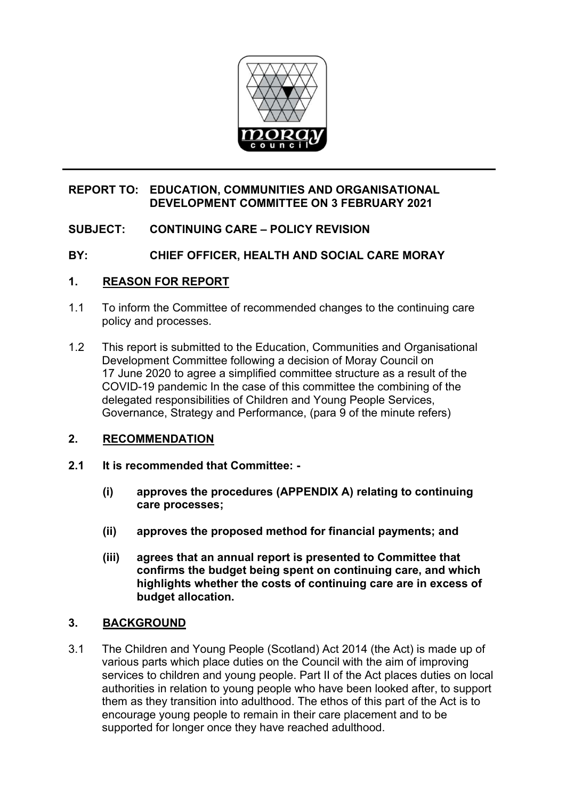

### **REPORT TO: EDUCATION, COMMUNITIES AND ORGANISATIONAL DEVELOPMENT COMMITTEE ON 3 FEBRUARY 2021**

# **SUBJECT: CONTINUING CARE – POLICY REVISION**

# **BY: CHIEF OFFICER, HEALTH AND SOCIAL CARE MORAY**

### **1. REASON FOR REPORT**

- 1.1 To inform the Committee of recommended changes to the continuing care policy and processes.
- 1.2 This report is submitted to the Education, Communities and Organisational Development Committee following a decision of Moray Council on 17 June 2020 to agree a simplified committee structure as a result of the COVID-19 pandemic In the case of this committee the combining of the delegated responsibilities of Children and Young People Services, Governance, Strategy and Performance, (para 9 of the minute refers)

# **2. RECOMMENDATION**

- **2.1 It is recommended that Committee:** 
	- **(i) approves the procedures (APPENDIX A) relating to continuing care processes;**
	- **(ii) approves the proposed method for financial payments; and**
	- **(iii) agrees that an annual report is presented to Committee that confirms the budget being spent on continuing care, and which highlights whether the costs of continuing care are in excess of budget allocation.**

# **3. BACKGROUND**

3.1 The Children and Young People (Scotland) Act 2014 (the Act) is made up of various parts which place duties on the Council with the aim of improving services to children and young people. Part II of the Act places duties on local authorities in relation to young people who have been looked after, to support them as they transition into adulthood. The ethos of this part of the Act is to encourage young people to remain in their care placement and to be supported for longer once they have reached adulthood.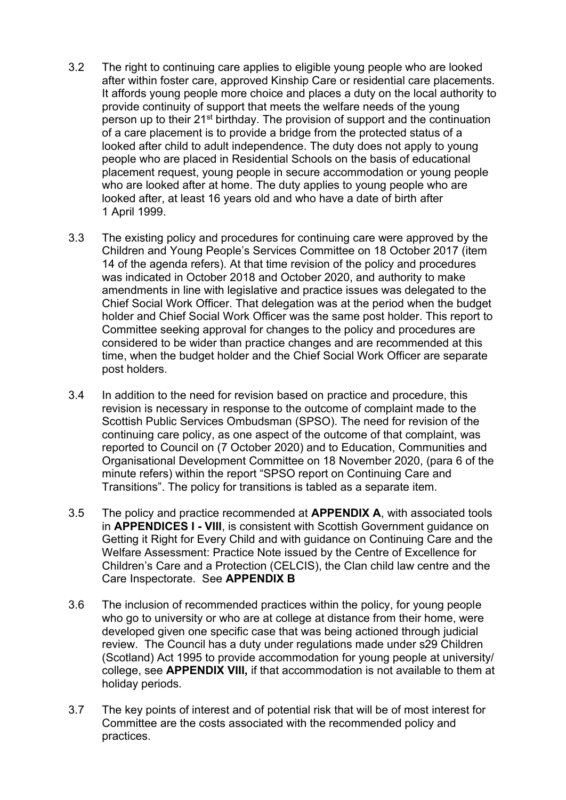- 3.2 The right to continuing care applies to eligible young people who are looked after within foster care, approved Kinship Care or residential care placements. It affords young people more choice and places a duty on the local authority to provide continuity of support that meets the welfare needs of the young person up to their 21<sup>st</sup> birthday. The provision of support and the continuation of a care placement is to provide a bridge from the protected status of a looked after child to adult independence. The duty does not apply to young people who are placed in Residential Schools on the basis of educational placement request, young people in secure accommodation or young people who are looked after at home. The duty applies to young people who are looked after, at least 16 years old and who have a date of birth after 1 April 1999.
- 3.3 The existing policy and procedures for continuing care were approved by the Children and Young People's Services Committee on 18 October 2017 (item 14 of the agenda refers). At that time revision of the policy and procedures was indicated in October 2018 and October 2020, and authority to make amendments in line with legislative and practice issues was delegated to the Chief Social Work Officer. That delegation was at the period when the budget holder and Chief Social Work Officer was the same post holder. This report to Committee seeking approval for changes to the policy and procedures are considered to be wider than practice changes and are recommended at this time, when the budget holder and the Chief Social Work Officer are separate post holders.
- 3.4 In addition to the need for revision based on practice and procedure, this revision is necessary in response to the outcome of complaint made to the Scottish Public Services Ombudsman (SPSO). The need for revision of the continuing care policy, as one aspect of the outcome of that complaint, was reported to Council on (7 October 2020) and to Education, Communities and Organisational Development Committee on 18 November 2020, (para 6 of the minute refers) within the report "SPSO report on Continuing Care and Transitions". The policy for transitions is tabled as a separate item.
- 3.5 The policy and practice recommended at **APPENDIX A**, with associated tools in **APPENDICES I - VIII**, is consistent with Scottish Government guidance on Getting it Right for Every Child and with guidance on Continuing Care and the Welfare Assessment: Practice Note issued by the Centre of Excellence for Children's Care and a Protection (CELCIS), the Clan child law centre and the Care Inspectorate. See **APPENDIX B**
- 3.6 The inclusion of recommended practices within the policy, for young people who go to university or who are at college at distance from their home, were developed given one specific case that was being actioned through judicial review. The Council has a duty under regulations made under s29 Children (Scotland) Act 1995 to provide accommodation for young people at university/ college, see **APPENDIX VIII,** if that accommodation is not available to them at holiday periods.
- 3.7 The key points of interest and of potential risk that will be of most interest for Committee are the costs associated with the recommended policy and practices.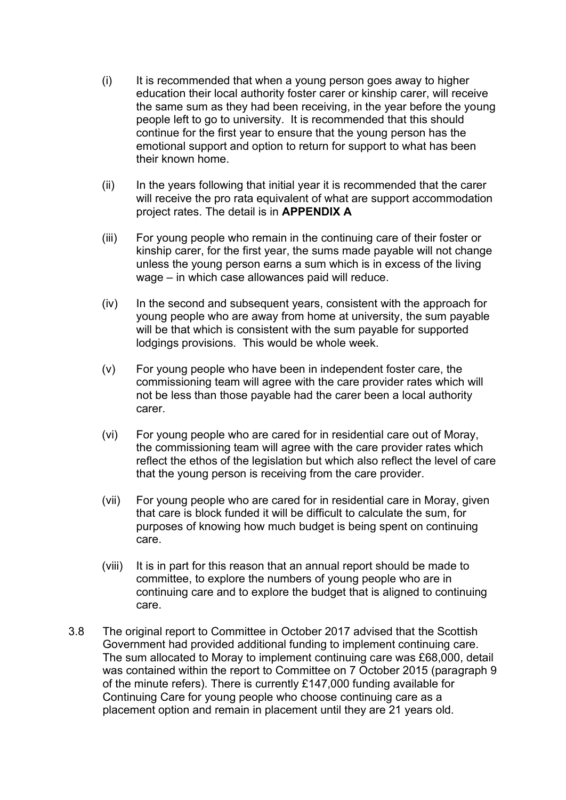- $(i)$  It is recommended that when a young person goes away to higher education their local authority foster carer or kinship carer, will receive the same sum as they had been receiving, in the year before the young people left to go to university. It is recommended that this should continue for the first year to ensure that the young person has the emotional support and option to return for support to what has been their known home.
- $(i)$  In the years following that initial year it is recommended that the carer will receive the pro rata equivalent of what are support accommodation project rates. The detail is in **APPENDIX A**
- (iii) For young people who remain in the continuing care of their foster or kinship carer, for the first year, the sums made payable will not change unless the young person earns a sum which is in excess of the living wage – in which case allowances paid will reduce.
- (iv) In the second and subsequent years, consistent with the approach for young people who are away from home at university, the sum payable will be that which is consistent with the sum payable for supported lodgings provisions. This would be whole week.
- (v) For young people who have been in independent foster care, the commissioning team will agree with the care provider rates which will not be less than those payable had the carer been a local authority carer.
- (vi) For young people who are cared for in residential care out of Moray, the commissioning team will agree with the care provider rates which reflect the ethos of the legislation but which also reflect the level of care that the young person is receiving from the care provider.
- (vii) For young people who are cared for in residential care in Moray, given that care is block funded it will be difficult to calculate the sum, for purposes of knowing how much budget is being spent on continuing care.
- (viii) It is in part for this reason that an annual report should be made to committee, to explore the numbers of young people who are in continuing care and to explore the budget that is aligned to continuing care.
- 3.8 The original report to Committee in October 2017 advised that the Scottish Government had provided additional funding to implement continuing care. The sum allocated to Moray to implement continuing care was £68,000, detail was contained within the report to Committee on 7 October 2015 (paragraph 9 of the minute refers). There is currently £147,000 funding available for Continuing Care for young people who choose continuing care as a placement option and remain in placement until they are 21 years old.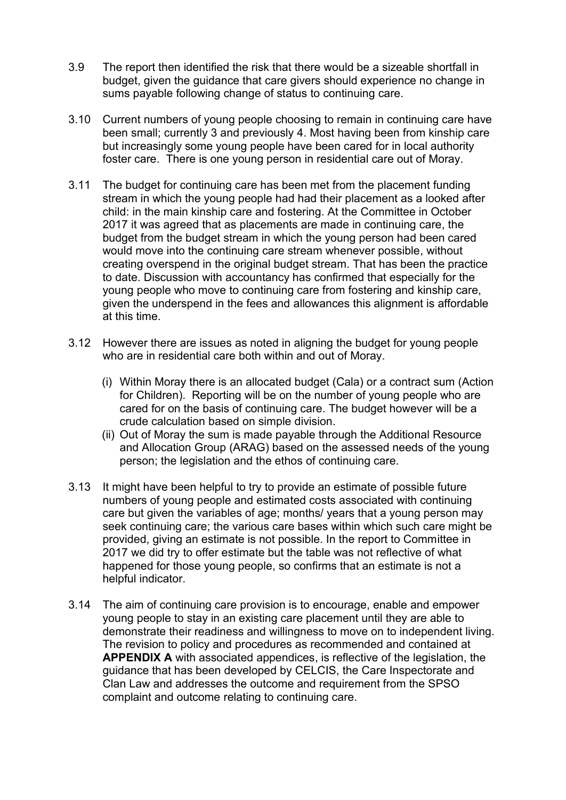- 3.9 The report then identified the risk that there would be a sizeable shortfall in budget, given the guidance that care givers should experience no change in sums payable following change of status to continuing care.
- 3.10 Current numbers of young people choosing to remain in continuing care have been small; currently 3 and previously 4. Most having been from kinship care but increasingly some young people have been cared for in local authority foster care. There is one young person in residential care out of Moray.
- 3.11 The budget for continuing care has been met from the placement funding stream in which the young people had had their placement as a looked after child: in the main kinship care and fostering. At the Committee in October 2017 it was agreed that as placements are made in continuing care, the budget from the budget stream in which the young person had been cared would move into the continuing care stream whenever possible, without creating overspend in the original budget stream. That has been the practice to date. Discussion with accountancy has confirmed that especially for the young people who move to continuing care from fostering and kinship care, given the underspend in the fees and allowances this alignment is affordable at this time.
- 3.12 However there are issues as noted in aligning the budget for young people who are in residential care both within and out of Moray.
	- (i) Within Moray there is an allocated budget (Cala) or a contract sum (Action for Children). Reporting will be on the number of young people who are cared for on the basis of continuing care. The budget however will be a crude calculation based on simple division.
	- (ii) Out of Moray the sum is made payable through the Additional Resource and Allocation Group (ARAG) based on the assessed needs of the young person; the legislation and the ethos of continuing care.
- 3.13 It might have been helpful to try to provide an estimate of possible future numbers of young people and estimated costs associated with continuing care but given the variables of age; months/ years that a young person may seek continuing care; the various care bases within which such care might be provided, giving an estimate is not possible. In the report to Committee in 2017 we did try to offer estimate but the table was not reflective of what happened for those young people, so confirms that an estimate is not a helpful indicator.
- 3.14 The aim of continuing care provision is to encourage, enable and empower young people to stay in an existing care placement until they are able to demonstrate their readiness and willingness to move on to independent living. The revision to policy and procedures as recommended and contained at **APPENDIX A** with associated appendices, is reflective of the legislation, the guidance that has been developed by CELCIS, the Care Inspectorate and Clan Law and addresses the outcome and requirement from the SPSO complaint and outcome relating to continuing care.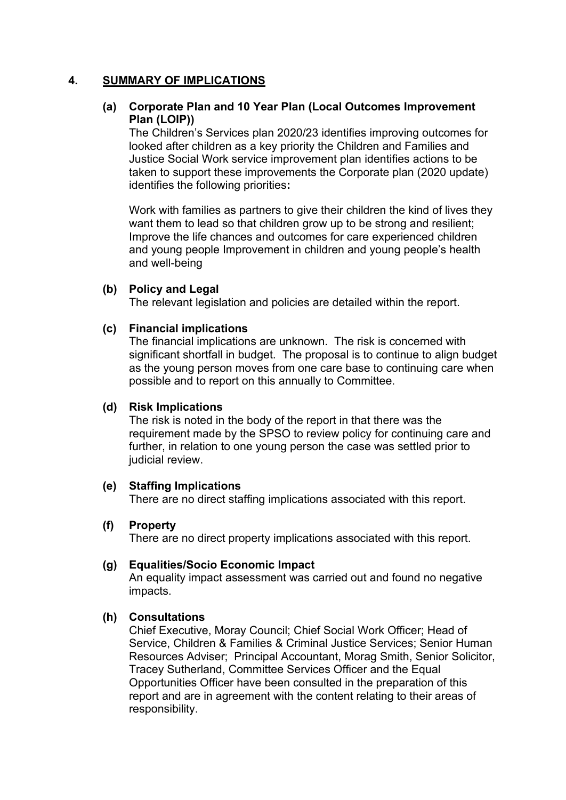#### **4. SUMMARY OF IMPLICATIONS**

### **(a) Corporate Plan and 10 Year Plan (Local Outcomes Improvement Plan (LOIP))**

The Children's Services plan 2020/23 identifies improving outcomes for looked after children as a key priority the Children and Families and Justice Social Work service improvement plan identifies actions to be taken to support these improvements the Corporate plan (2020 update) identifies the following priorities**:** 

Work with families as partners to give their children the kind of lives they want them to lead so that children grow up to be strong and resilient; Improve the life chances and outcomes for care experienced children and young people Improvement in children and young people's health and well-being

#### **(b) Policy and Legal**

The relevant legislation and policies are detailed within the report.

### **(c) Financial implications**

The financial implications are unknown. The risk is concerned with significant shortfall in budget. The proposal is to continue to align budget as the young person moves from one care base to continuing care when possible and to report on this annually to Committee.

#### **(d) Risk Implications**

The risk is noted in the body of the report in that there was the requirement made by the SPSO to review policy for continuing care and further, in relation to one young person the case was settled prior to judicial review.

#### **(e) Staffing Implications**

There are no direct staffing implications associated with this report.

#### **(f) Property**

There are no direct property implications associated with this report.

#### **(g) Equalities/Socio Economic Impact**

An equality impact assessment was carried out and found no negative impacts.

#### **(h) Consultations**

Chief Executive, Moray Council; Chief Social Work Officer; Head of Service, Children & Families & Criminal Justice Services; Senior Human Resources Adviser; Principal Accountant, Morag Smith, Senior Solicitor, Tracey Sutherland, Committee Services Officer and the Equal Opportunities Officer have been consulted in the preparation of this report and are in agreement with the content relating to their areas of responsibility.